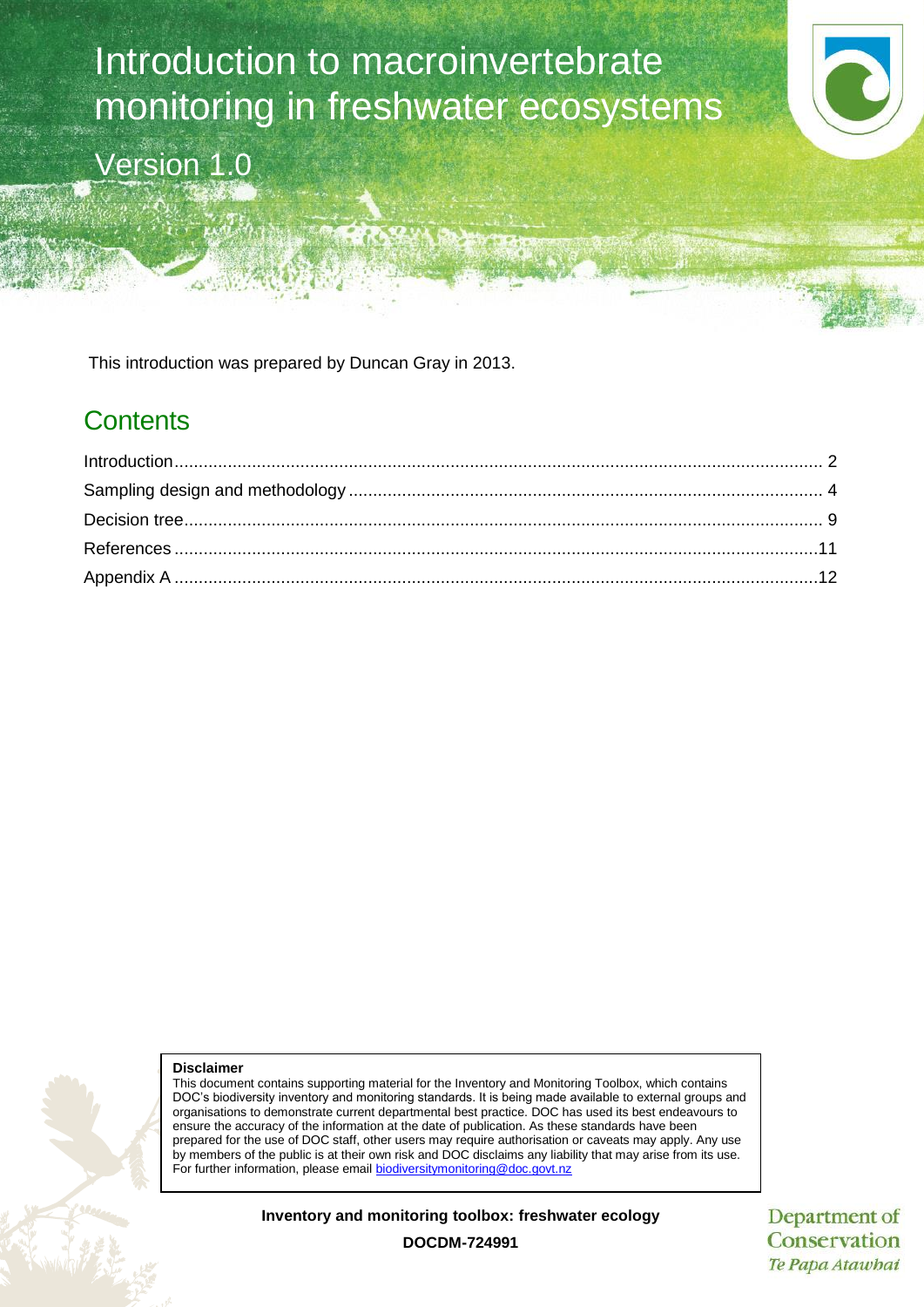Introduction to macroinvertebrate monitoring in freshwater ecosystems Version 1.0

This introduction was prepared by Duncan Gray in 2013.

# **Contents**



This document contains supporting material for the Inventory and Monitoring Toolbox, which contains DOC's biodiversity inventory and monitoring standards. It is being made available to external groups and organisations to demonstrate current departmental best practice. DOC has used its best endeavours to ensure the accuracy of the information at the date of publication. As these standards have been prepared for the use of DOC staff, other users may require authorisation or caveats may apply. Any use by members of the public is at their own risk and DOC disclaims any liability that may arise from its use. For further information, please email [biodiversitymonitoring@doc.govt.nz](mailto:biodiversitymonitoring@doc.govt.nz)

**Inventory and monitoring toolbox: freshwater ecology**

Department of Conservation Te Papa Atawhai

**DOCDM-724991**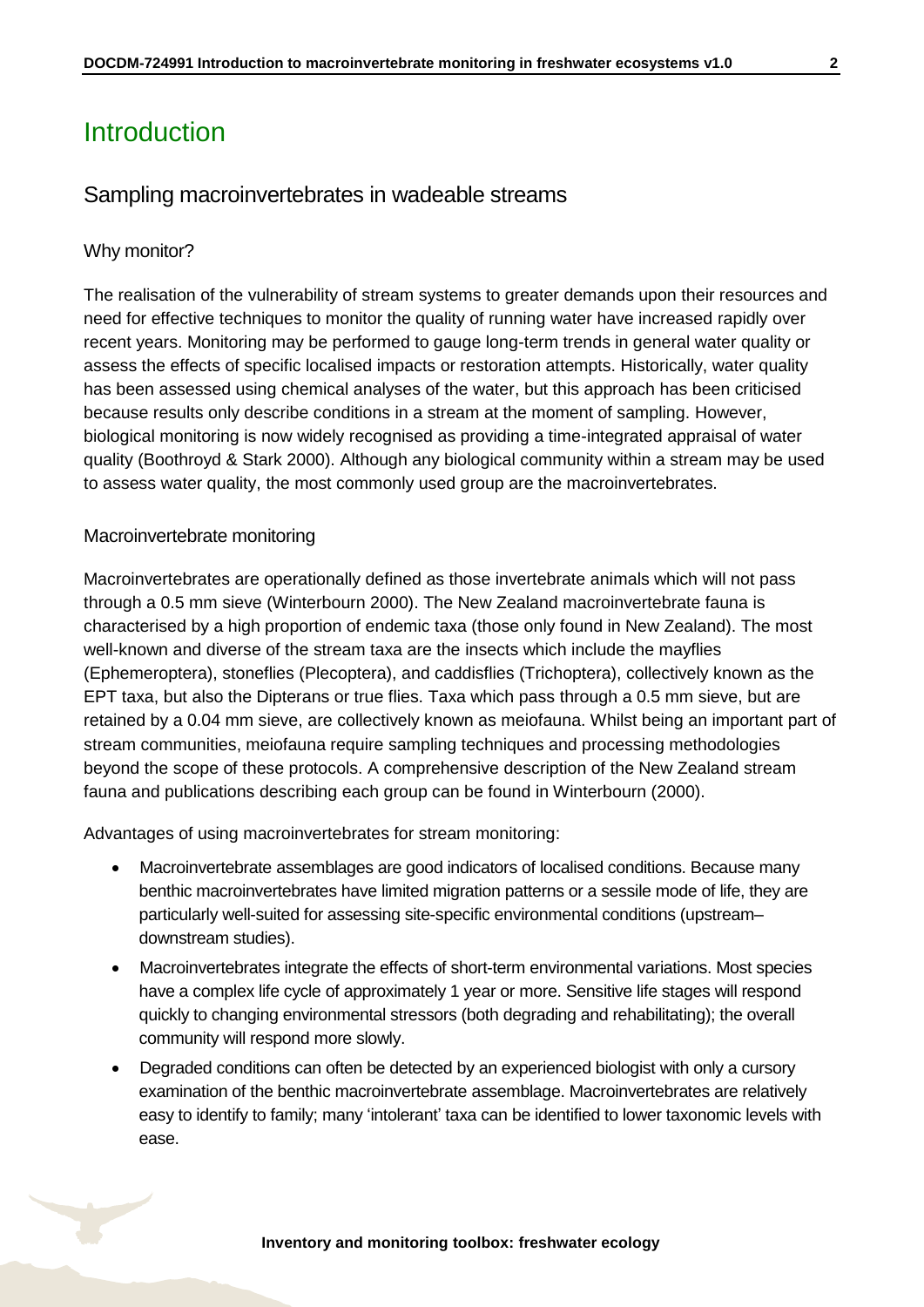# <span id="page-1-0"></span>Introduction

#### Sampling macroinvertebrates in wadeable streams

#### Why monitor?

The realisation of the vulnerability of stream systems to greater demands upon their resources and need for effective techniques to monitor the quality of running water have increased rapidly over recent years. Monitoring may be performed to gauge long-term trends in general water quality or assess the effects of specific localised impacts or restoration attempts. Historically, water quality has been assessed using chemical analyses of the water, but this approach has been criticised because results only describe conditions in a stream at the moment of sampling. However, biological monitoring is now widely recognised as providing a time-integrated appraisal of water quality (Boothroyd & Stark 2000). Although any biological community within a stream may be used to assess water quality, the most commonly used group are the macroinvertebrates.

#### Macroinvertebrate monitoring

Macroinvertebrates are operationally defined as those invertebrate animals which will not pass through a 0.5 mm sieve (Winterbourn 2000). The New Zealand macroinvertebrate fauna is characterised by a high proportion of endemic taxa (those only found in New Zealand). The most well-known and diverse of the stream taxa are the insects which include the mayflies (Ephemeroptera), stoneflies (Plecoptera), and caddisflies (Trichoptera), collectively known as the EPT taxa, but also the Dipterans or true flies. Taxa which pass through a 0.5 mm sieve, but are retained by a 0.04 mm sieve, are collectively known as meiofauna. Whilst being an important part of stream communities, meiofauna require sampling techniques and processing methodologies beyond the scope of these protocols. A comprehensive description of the New Zealand stream fauna and publications describing each group can be found in Winterbourn (2000).

Advantages of using macroinvertebrates for stream monitoring:

- Macroinvertebrate assemblages are good indicators of localised conditions. Because many benthic macroinvertebrates have limited migration patterns or a sessile mode of life, they are particularly well-suited for assessing site-specific environmental conditions (upstream– downstream studies).
- Macroinvertebrates integrate the effects of short-term environmental variations. Most species have a complex life cycle of approximately 1 year or more. Sensitive life stages will respond quickly to changing environmental stressors (both degrading and rehabilitating); the overall community will respond more slowly.
- Degraded conditions can often be detected by an experienced biologist with only a cursory examination of the benthic macroinvertebrate assemblage. Macroinvertebrates are relatively easy to identify to family; many 'intolerant' taxa can be identified to lower taxonomic levels with ease.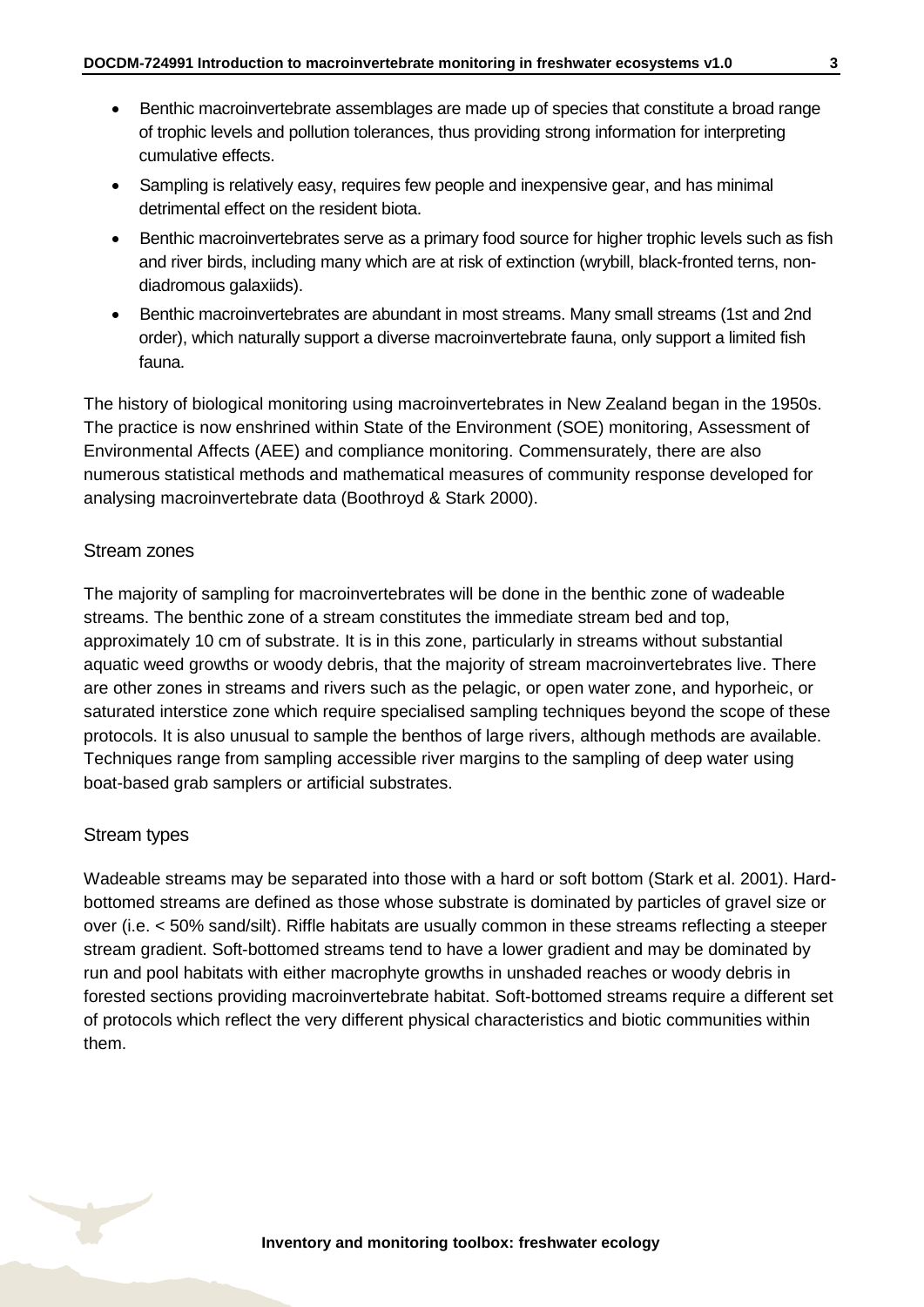- Benthic macroinvertebrate assemblages are made up of species that constitute a broad range of trophic levels and pollution tolerances, thus providing strong information for interpreting cumulative effects.
- Sampling is relatively easy, requires few people and inexpensive gear, and has minimal detrimental effect on the resident biota.
- Benthic macroinvertebrates serve as a primary food source for higher trophic levels such as fish and river birds, including many which are at risk of extinction (wrybill, black-fronted terns, nondiadromous galaxiids).
- Benthic macroinvertebrates are abundant in most streams. Many small streams (1st and 2nd order), which naturally support a diverse macroinvertebrate fauna, only support a limited fish fauna.

The history of biological monitoring using macroinvertebrates in New Zealand began in the 1950s. The practice is now enshrined within State of the Environment (SOE) monitoring, Assessment of Environmental Affects (AEE) and compliance monitoring. Commensurately, there are also numerous statistical methods and mathematical measures of community response developed for analysing macroinvertebrate data (Boothroyd & Stark 2000).

#### Stream zones

The majority of sampling for macroinvertebrates will be done in the benthic zone of wadeable streams. The benthic zone of a stream constitutes the immediate stream bed and top, approximately 10 cm of substrate. It is in this zone, particularly in streams without substantial aquatic weed growths or woody debris, that the majority of stream macroinvertebrates live. There are other zones in streams and rivers such as the pelagic, or open water zone, and hyporheic, or saturated interstice zone which require specialised sampling techniques beyond the scope of these protocols. It is also unusual to sample the benthos of large rivers, although methods are available. Techniques range from sampling accessible river margins to the sampling of deep water using boat-based grab samplers or artificial substrates.

#### Stream types

Wadeable streams may be separated into those with a hard or soft bottom (Stark et al. 2001). Hardbottomed streams are defined as those whose substrate is dominated by particles of gravel size or over (i.e. < 50% sand/silt). Riffle habitats are usually common in these streams reflecting a steeper stream gradient. Soft-bottomed streams tend to have a lower gradient and may be dominated by run and pool habitats with either macrophyte growths in unshaded reaches or woody debris in forested sections providing macroinvertebrate habitat. Soft-bottomed streams require a different set of protocols which reflect the very different physical characteristics and biotic communities within them.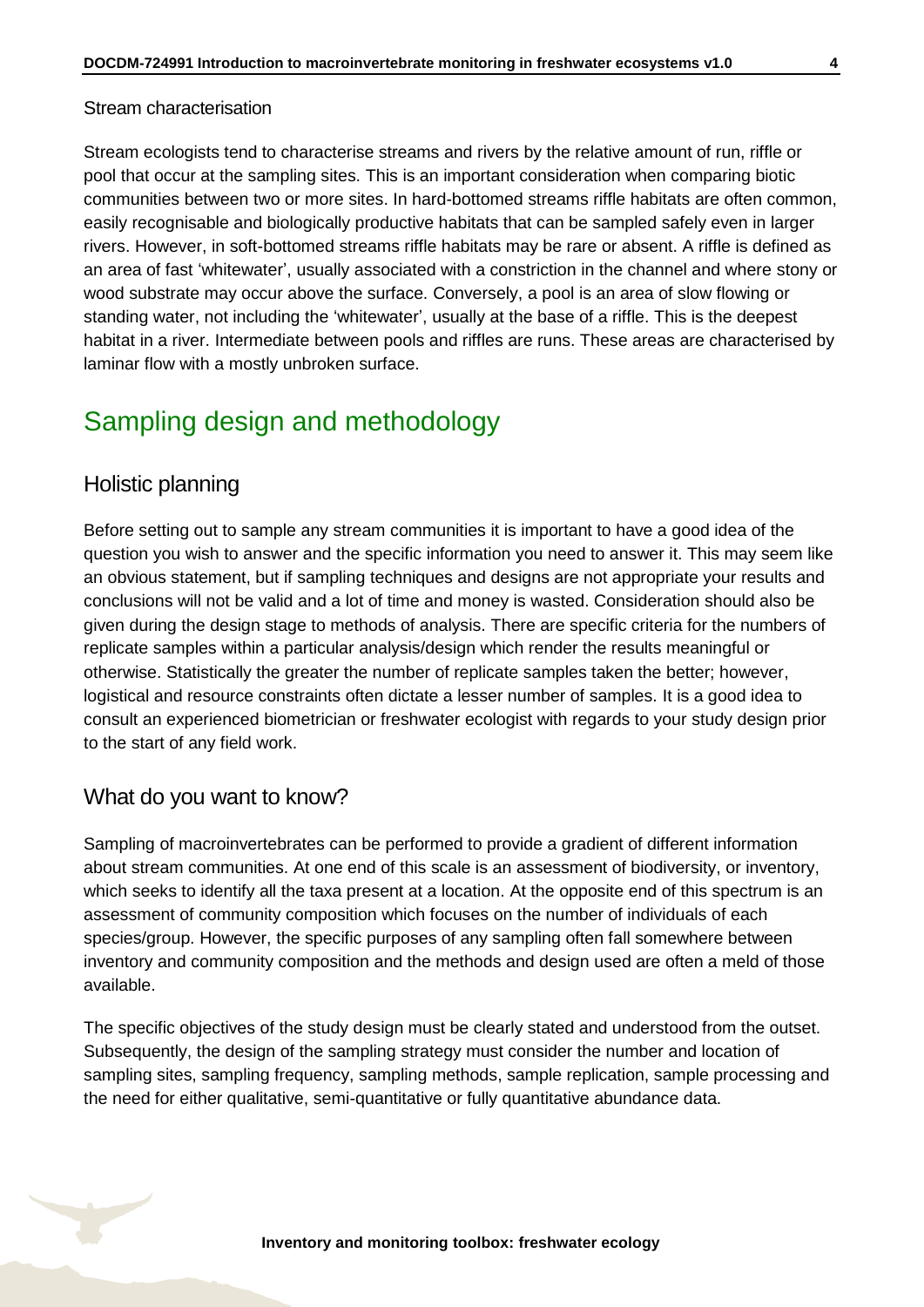#### Stream characterisation

Stream ecologists tend to characterise streams and rivers by the relative amount of run, riffle or pool that occur at the sampling sites. This is an important consideration when comparing biotic communities between two or more sites. In hard-bottomed streams riffle habitats are often common, easily recognisable and biologically productive habitats that can be sampled safely even in larger rivers. However, in soft-bottomed streams riffle habitats may be rare or absent. A riffle is defined as an area of fast 'whitewater', usually associated with a constriction in the channel and where stony or wood substrate may occur above the surface. Conversely, a pool is an area of slow flowing or standing water, not including the 'whitewater', usually at the base of a riffle. This is the deepest habitat in a river. Intermediate between pools and riffles are runs. These areas are characterised by laminar flow with a mostly unbroken surface.

## <span id="page-3-0"></span>Sampling design and methodology

#### Holistic planning

Before setting out to sample any stream communities it is important to have a good idea of the question you wish to answer and the specific information you need to answer it. This may seem like an obvious statement, but if sampling techniques and designs are not appropriate your results and conclusions will not be valid and a lot of time and money is wasted. Consideration should also be given during the design stage to methods of analysis. There are specific criteria for the numbers of replicate samples within a particular analysis/design which render the results meaningful or otherwise. Statistically the greater the number of replicate samples taken the better; however, logistical and resource constraints often dictate a lesser number of samples. It is a good idea to consult an experienced biometrician or freshwater ecologist with regards to your study design prior to the start of any field work.

#### What do you want to know?

Sampling of macroinvertebrates can be performed to provide a gradient of different information about stream communities. At one end of this scale is an assessment of biodiversity, or inventory, which seeks to identify all the taxa present at a location. At the opposite end of this spectrum is an assessment of community composition which focuses on the number of individuals of each species/group. However, the specific purposes of any sampling often fall somewhere between inventory and community composition and the methods and design used are often a meld of those available.

The specific objectives of the study design must be clearly stated and understood from the outset. Subsequently, the design of the sampling strategy must consider the number and location of sampling sites, sampling frequency, sampling methods, sample replication, sample processing and the need for either qualitative, semi-quantitative or fully quantitative abundance data.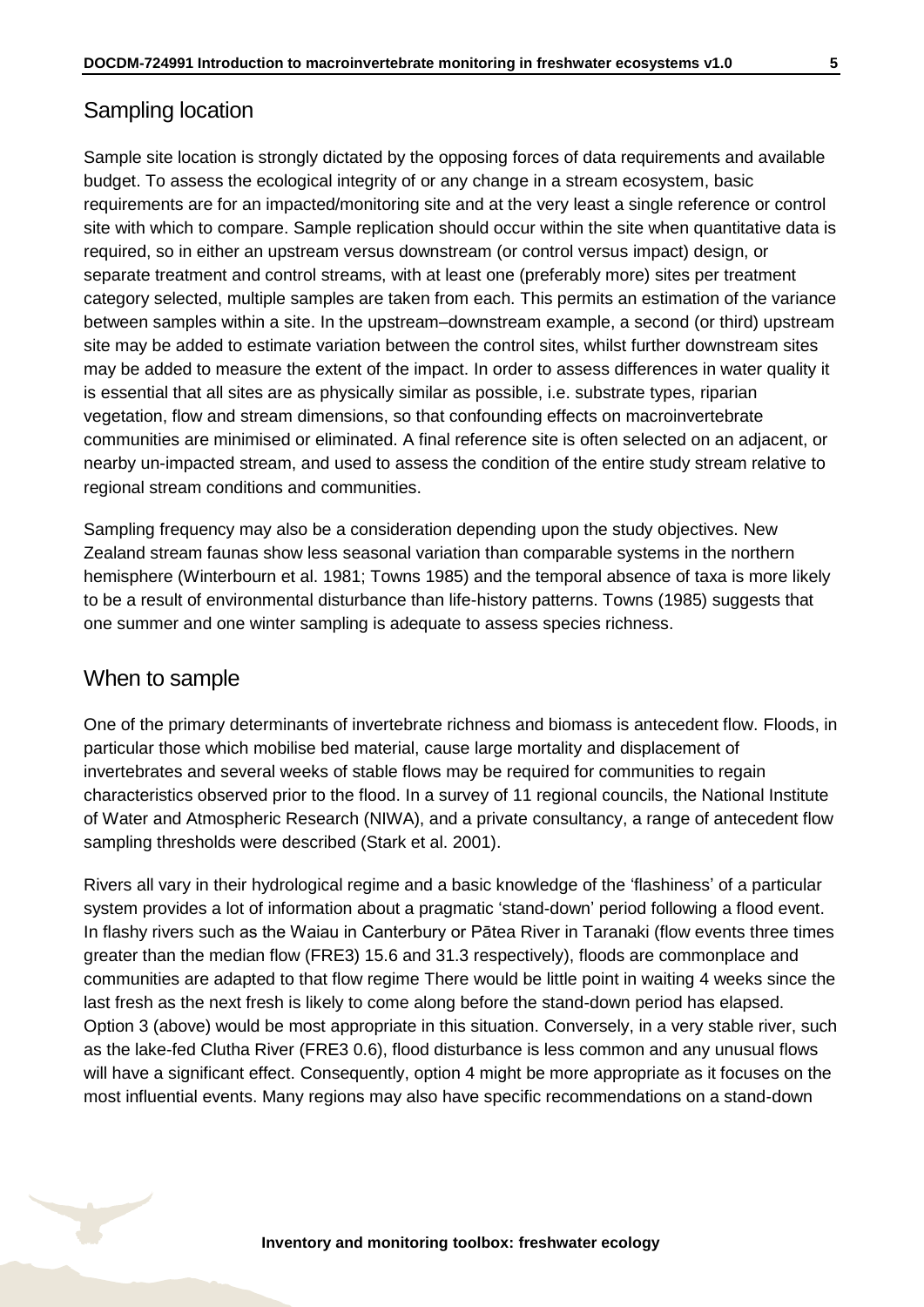### Sampling location

Sample site location is strongly dictated by the opposing forces of data requirements and available budget. To assess the ecological integrity of or any change in a stream ecosystem, basic requirements are for an impacted/monitoring site and at the very least a single reference or control site with which to compare. Sample replication should occur within the site when quantitative data is required, so in either an upstream versus downstream (or control versus impact) design, or separate treatment and control streams, with at least one (preferably more) sites per treatment category selected, multiple samples are taken from each. This permits an estimation of the variance between samples within a site. In the upstream–downstream example, a second (or third) upstream site may be added to estimate variation between the control sites, whilst further downstream sites may be added to measure the extent of the impact. In order to assess differences in water quality it is essential that all sites are as physically similar as possible, i.e. substrate types, riparian vegetation, flow and stream dimensions, so that confounding effects on macroinvertebrate communities are minimised or eliminated. A final reference site is often selected on an adjacent, or nearby un-impacted stream, and used to assess the condition of the entire study stream relative to regional stream conditions and communities.

Sampling frequency may also be a consideration depending upon the study objectives. New Zealand stream faunas show less seasonal variation than comparable systems in the northern hemisphere (Winterbourn et al. 1981; Towns 1985) and the temporal absence of taxa is more likely to be a result of environmental disturbance than life-history patterns. Towns (1985) suggests that one summer and one winter sampling is adequate to assess species richness.

#### When to sample

One of the primary determinants of invertebrate richness and biomass is antecedent flow. Floods, in particular those which mobilise bed material, cause large mortality and displacement of invertebrates and several weeks of stable flows may be required for communities to regain characteristics observed prior to the flood. In a survey of 11 regional councils, the National Institute of Water and Atmospheric Research (NIWA), and a private consultancy, a range of antecedent flow sampling thresholds were described (Stark et al. 2001).

Rivers all vary in their hydrological regime and a basic knowledge of the 'flashiness' of a particular system provides a lot of information about a pragmatic 'stand-down' period following a flood event. In flashy rivers such as the Waiau in Canterbury or Pātea River in Taranaki (flow events three times greater than the median flow (FRE3) 15.6 and 31.3 respectively), floods are commonplace and communities are adapted to that flow regime There would be little point in waiting 4 weeks since the last fresh as the next fresh is likely to come along before the stand-down period has elapsed. Option 3 (above) would be most appropriate in this situation. Conversely, in a very stable river, such as the lake-fed Clutha River (FRE3 0.6), flood disturbance is less common and any unusual flows will have a significant effect. Consequently, option 4 might be more appropriate as it focuses on the most influential events. Many regions may also have specific recommendations on a stand-down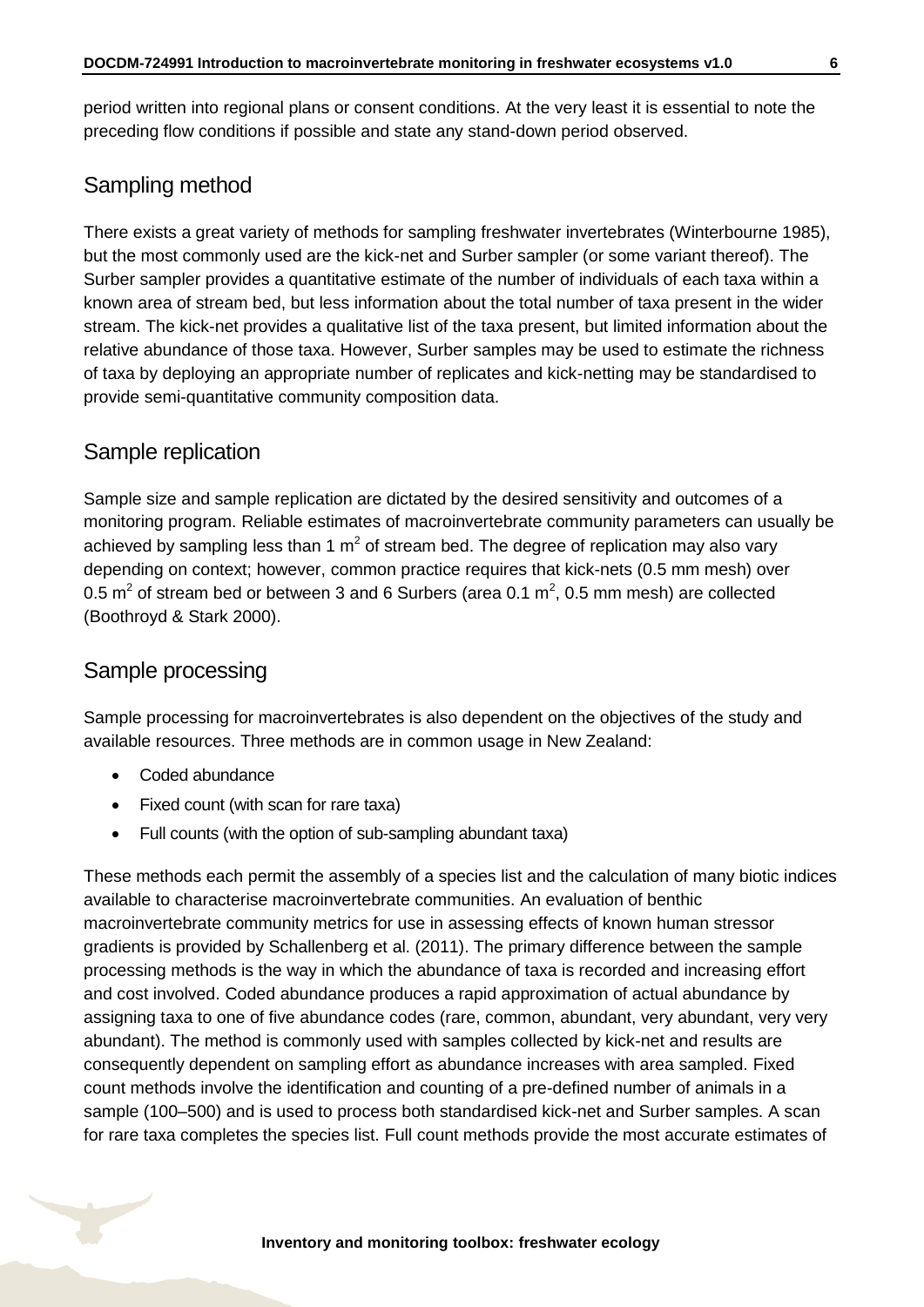period written into regional plans or consent conditions. At the very least it is essential to note the preceding flow conditions if possible and state any stand-down period observed.

### Sampling method

There exists a great variety of methods for sampling freshwater invertebrates (Winterbourne 1985), but the most commonly used are the kick-net and Surber sampler (or some variant thereof). The Surber sampler provides a quantitative estimate of the number of individuals of each taxa within a known area of stream bed, but less information about the total number of taxa present in the wider stream. The kick-net provides a qualitative list of the taxa present, but limited information about the relative abundance of those taxa. However, Surber samples may be used to estimate the richness of taxa by deploying an appropriate number of replicates and kick-netting may be standardised to provide semi-quantitative community composition data.

### Sample replication

Sample size and sample replication are dictated by the desired sensitivity and outcomes of a monitoring program. Reliable estimates of macroinvertebrate community parameters can usually be achieved by sampling less than 1  $m^2$  of stream bed. The degree of replication may also vary depending on context; however, common practice requires that kick-nets (0.5 mm mesh) over 0.5  $m^2$  of stream bed or between 3 and 6 Surbers (area 0.1  $m^2$ , 0.5 mm mesh) are collected (Boothroyd & Stark 2000).

### Sample processing

Sample processing for macroinvertebrates is also dependent on the objectives of the study and available resources. Three methods are in common usage in New Zealand:

- Coded abundance
- Fixed count (with scan for rare taxa)
- Full counts (with the option of sub-sampling abundant taxa)

These methods each permit the assembly of a species list and the calculation of many biotic indices available to characterise macroinvertebrate communities. An evaluation of benthic macroinvertebrate community metrics for use in assessing effects of known human stressor gradients is provided by Schallenberg et al. (2011). The primary difference between the sample processing methods is the way in which the abundance of taxa is recorded and increasing effort and cost involved. Coded abundance produces a rapid approximation of actual abundance by assigning taxa to one of five abundance codes (rare, common, abundant, very abundant, very very abundant). The method is commonly used with samples collected by kick-net and results are consequently dependent on sampling effort as abundance increases with area sampled. Fixed count methods involve the identification and counting of a pre-defined number of animals in a sample (100–500) and is used to process both standardised kick-net and Surber samples. A scan for rare taxa completes the species list. Full count methods provide the most accurate estimates of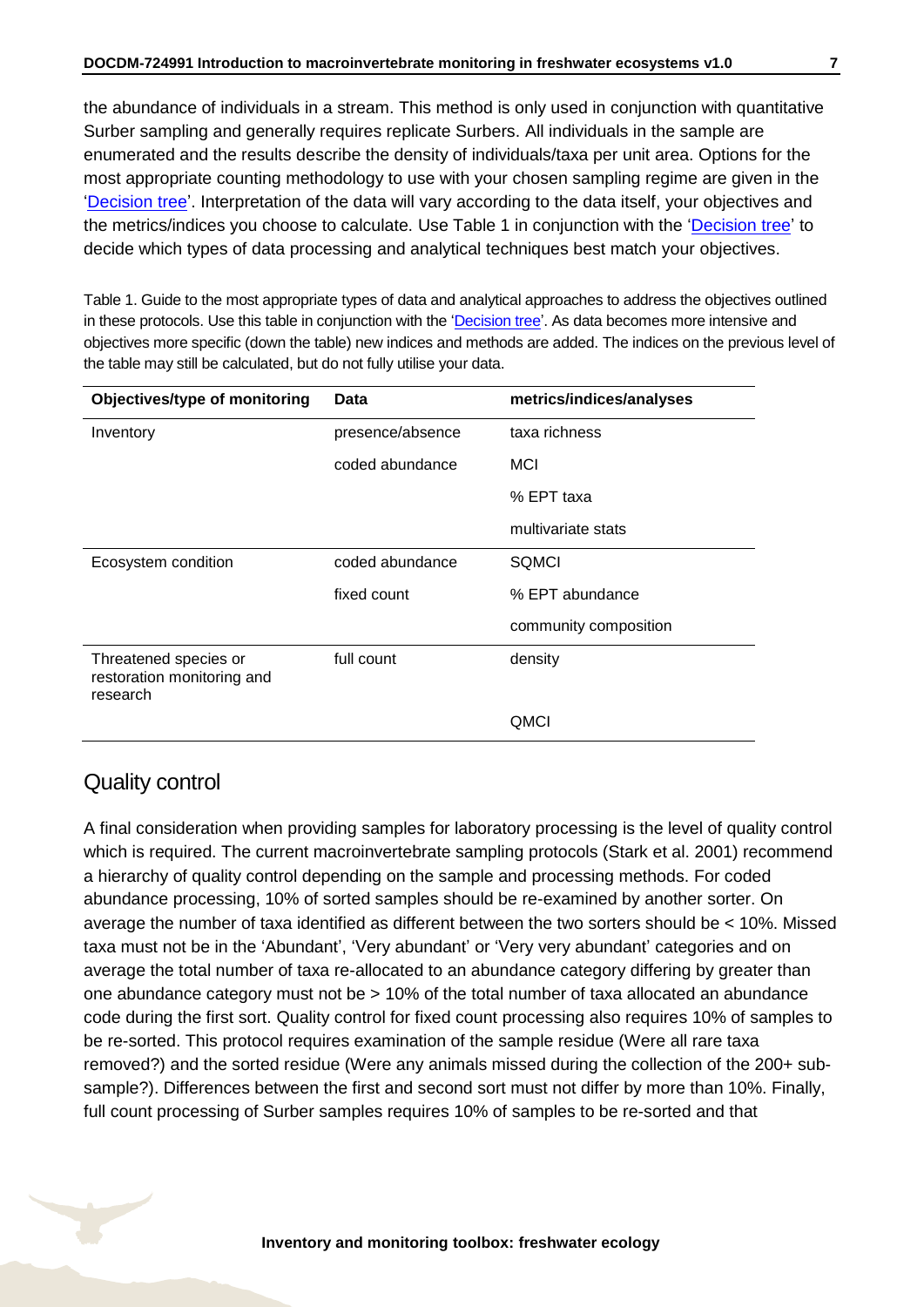the abundance of individuals in a stream. This method is only used in conjunction with quantitative Surber sampling and generally requires replicate Surbers. All individuals in the sample are enumerated and the results describe the density of individuals/taxa per unit area. Options for the most appropriate counting methodology to use with your chosen sampling regime are given in the ['Decision tree'](#page-8-0). Interpretation of the data will vary according to the data itself, your objectives and the metrics/indices you choose to calculate. Use Table 1 in conjunction with the ['Decision tree'](#page-8-0) to decide which types of data processing and analytical techniques best match your objectives.

Table 1. Guide to the most appropriate types of data and analytical approaches to address the objectives outlined in these protocols. Use this table in conjunction with the ['Decision tree'.](#page-8-0) As data becomes more intensive and objectives more specific (down the table) new indices and methods are added. The indices on the previous level of the table may still be calculated, but do not fully utilise your data.

| Objectives/type of monitoring                                   | <b>Data</b>      | metrics/indices/analyses |
|-----------------------------------------------------------------|------------------|--------------------------|
| Inventory                                                       | presence/absence | taxa richness            |
|                                                                 | coded abundance  | <b>MCI</b>               |
|                                                                 |                  | % EPT taxa               |
|                                                                 |                  | multivariate stats       |
| Ecosystem condition                                             | coded abundance  | <b>SQMCI</b>             |
|                                                                 | fixed count      | % EPT abundance          |
|                                                                 |                  | community composition    |
| Threatened species or<br>restoration monitoring and<br>research | full count       | density                  |
|                                                                 |                  | QMCI                     |

### Quality control

A final consideration when providing samples for laboratory processing is the level of quality control which is required. The current macroinvertebrate sampling protocols (Stark et al. 2001) recommend a hierarchy of quality control depending on the sample and processing methods. For coded abundance processing, 10% of sorted samples should be re-examined by another sorter. On average the number of taxa identified as different between the two sorters should be < 10%. Missed taxa must not be in the 'Abundant', 'Very abundant' or 'Very very abundant' categories and on average the total number of taxa re-allocated to an abundance category differing by greater than one abundance category must not be > 10% of the total number of taxa allocated an abundance code during the first sort. Quality control for fixed count processing also requires 10% of samples to be re-sorted. This protocol requires examination of the sample residue (Were all rare taxa removed?) and the sorted residue (Were any animals missed during the collection of the 200+ subsample?). Differences between the first and second sort must not differ by more than 10%. Finally, full count processing of Surber samples requires 10% of samples to be re-sorted and that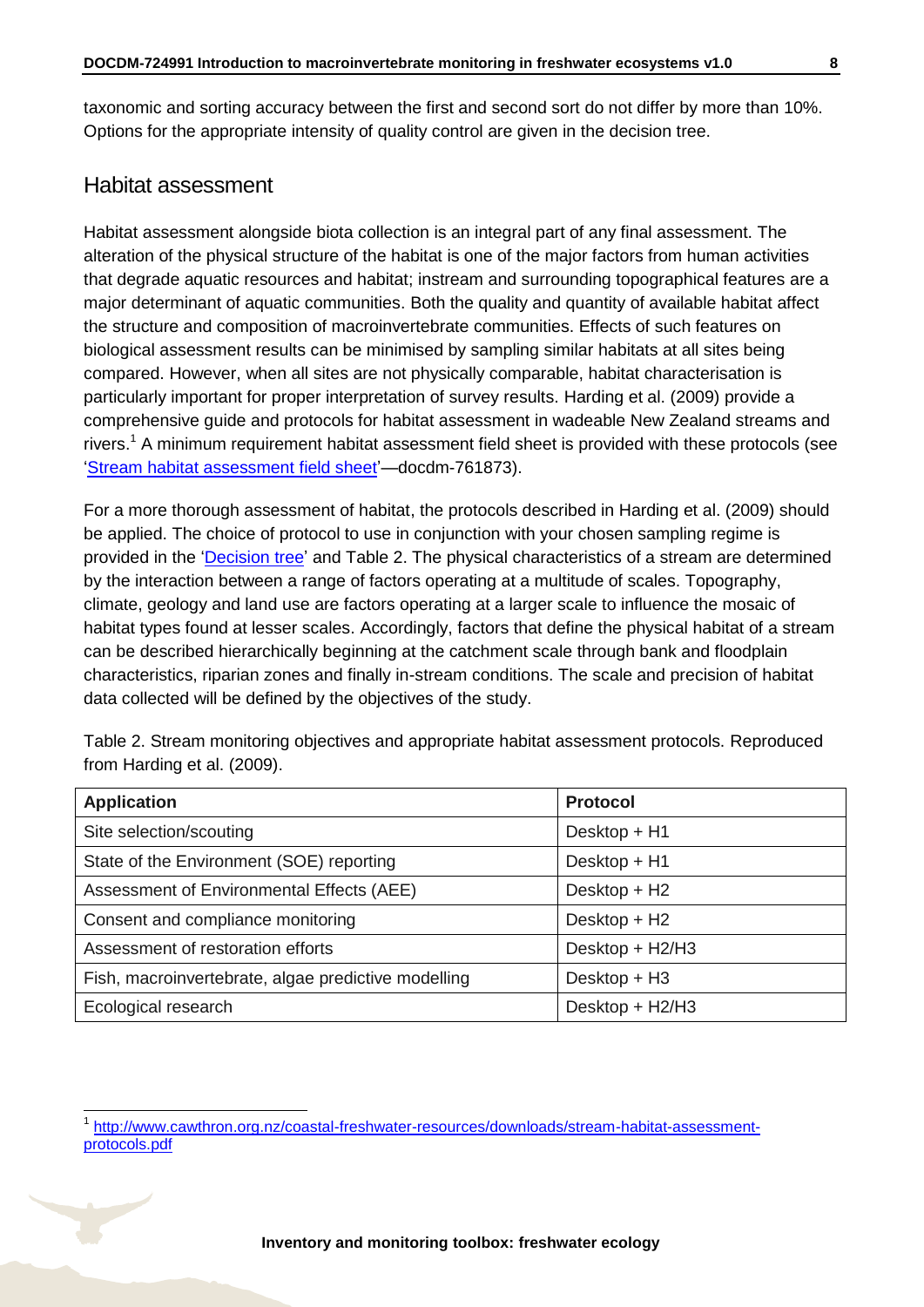taxonomic and sorting accuracy between the first and second sort do not differ by more than 10%. Options for the appropriate intensity of quality control are given in the decision tree.

### Habitat assessment

 $\overline{1}$ 

Habitat assessment alongside biota collection is an integral part of any final assessment. The alteration of the physical structure of the habitat is one of the major factors from human activities that degrade aquatic resources and habitat; instream and surrounding topographical features are a major determinant of aquatic communities. Both the quality and quantity of available habitat affect the structure and composition of macroinvertebrate communities. Effects of such features on biological assessment results can be minimised by sampling similar habitats at all sites being compared. However, when all sites are not physically comparable, habitat characterisation is particularly important for proper interpretation of survey results. Harding et al. (2009) provide a comprehensive guide and protocols for habitat assessment in wadeable New Zealand streams and rivers.<sup>1</sup> A minimum requirement habitat assessment field sheet is provided with these protocols (see ['Stream habitat assessment field sheet'](http://www.doc.govt.nz/Documents/science-and-technical/inventory-monitoring/im-toolbox-freshwater-ecology/im-toolbox-freshwater-ecology-stream-habitat-assessment-field-sheet.pdf)—docdm-761873).

For a more thorough assessment of habitat, the protocols described in Harding et al. (2009) should be applied. The choice of protocol to use in conjunction with your chosen sampling regime is provided in the ['Decision tree'](#page-8-0) and Table 2. The physical characteristics of a stream are determined by the interaction between a range of factors operating at a multitude of scales. Topography, climate, geology and land use are factors operating at a larger scale to influence the mosaic of habitat types found at lesser scales. Accordingly, factors that define the physical habitat of a stream can be described hierarchically beginning at the catchment scale through bank and floodplain characteristics, riparian zones and finally in-stream conditions. The scale and precision of habitat data collected will be defined by the objectives of the study.

Table 2. Stream monitoring objectives and appropriate habitat assessment protocols. Reproduced from Harding et al. (2009).

| <b>Application</b>                                  | <b>Protocol</b> |
|-----------------------------------------------------|-----------------|
| Site selection/scouting                             | Desktop + H1    |
| State of the Environment (SOE) reporting            | Desktop + H1    |
| Assessment of Environmental Effects (AEE)           | Desktop + H2    |
| Consent and compliance monitoring                   | Desktop + H2    |
| Assessment of restoration efforts                   | Desktop + H2/H3 |
| Fish, macroinvertebrate, algae predictive modelling | Desktop + H3    |
| Ecological research                                 | Desktop + H2/H3 |

<sup>1</sup> [http://www.cawthron.org.nz/coastal-freshwater-resources/downloads/stream-habitat-assessment](http://www.cawthron.org.nz/coastal-freshwater-resources/downloads/stream-habitat-assessment-protocols.pdf)[protocols.pdf](http://www.cawthron.org.nz/coastal-freshwater-resources/downloads/stream-habitat-assessment-protocols.pdf)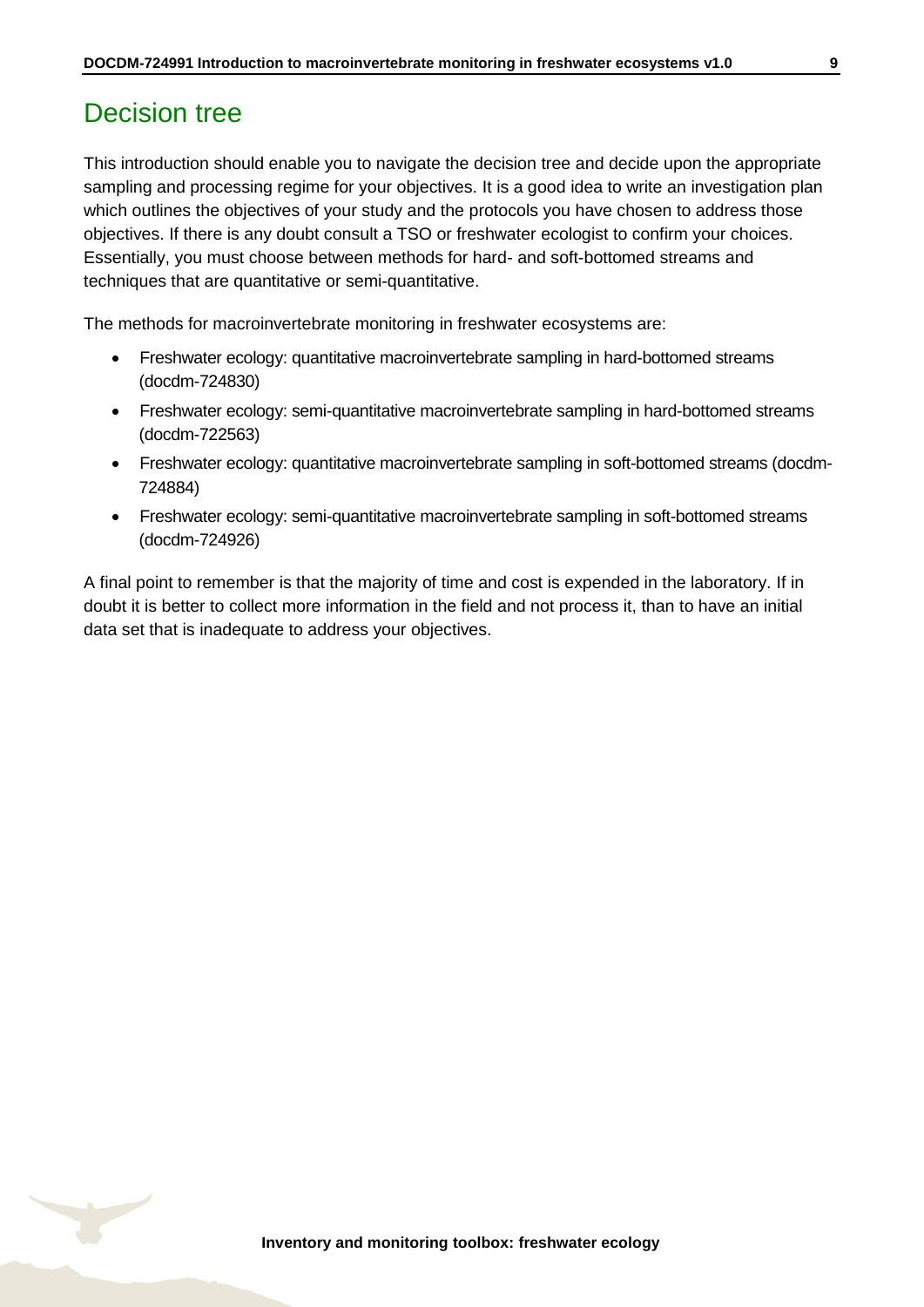## <span id="page-8-0"></span>Decision tree

This introduction should enable you to navigate the decision tree and decide upon the appropriate sampling and processing regime for your objectives. It is a good idea to write an investigation plan which outlines the objectives of your study and the protocols you have chosen to address those objectives. If there is any doubt consult a TSO or freshwater ecologist to confirm your choices. Essentially, you must choose between methods for hard- and soft-bottomed streams and techniques that are quantitative or semi-quantitative.

The methods for macroinvertebrate monitoring in freshwater ecosystems are:

- Freshwater ecology: quantitative macroinvertebrate sampling in hard-bottomed streams (docdm-724830)
- Freshwater ecology: semi-quantitative macroinvertebrate sampling in hard-bottomed streams (docdm-722563)
- Freshwater ecology: quantitative macroinvertebrate sampling in soft-bottomed streams (docdm-724884)
- Freshwater ecology: semi-quantitative macroinvertebrate sampling in soft-bottomed streams (docdm-724926)

A final point to remember is that the majority of time and cost is expended in the laboratory. If in doubt it is better to collect more information in the field and not process it, than to have an initial data set that is inadequate to address your objectives.

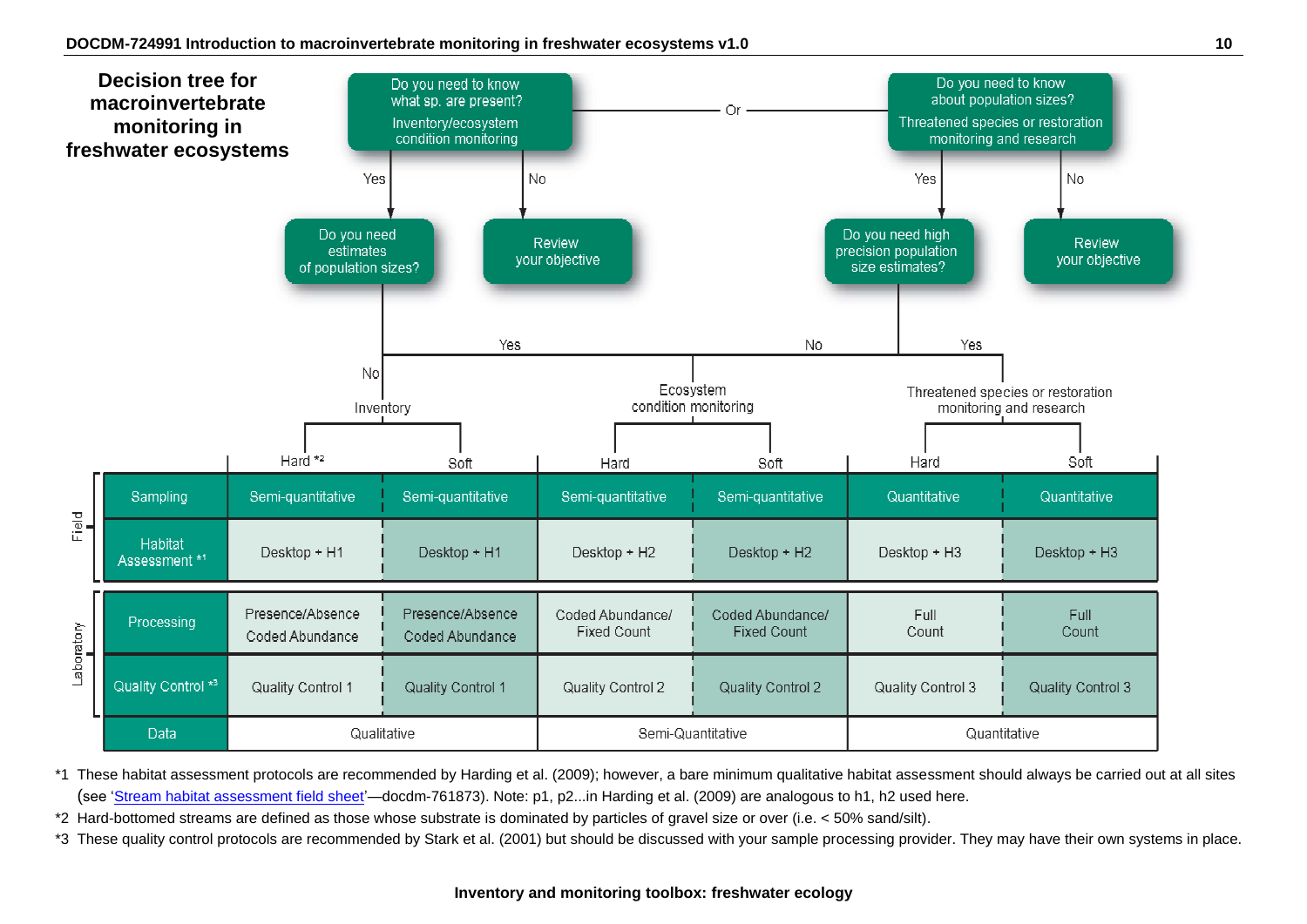

\*1 These habitat assessment protocols are recommended by Harding et al. (2009); however, a bare minimum qualitative habitat assessment should always be carried out at all sites (see ['Stream habitat assessment field sheet'—](http://www.doc.govt.nz/Documents/science-and-technical/inventory-monitoring/im-toolbox-freshwater-ecology/im-toolbox-freshwater-ecology-stream-habitat-assessment-field-sheet.pdf)docdm-761873). Note: p1, p2...in Harding et al. (2009) are analogous to h1, h2 used here.

\*2 Hard-bottomed streams are defined as those whose substrate is dominated by particles of gravel size or over (i.e. < 50% sand/silt).

\*3 These quality control protocols are recommended by Stark et al. (2001) but should be discussed with your sample processing provider. They may have their own systems in place.

#### **Inventory and monitoring toolbox: freshwater ecology**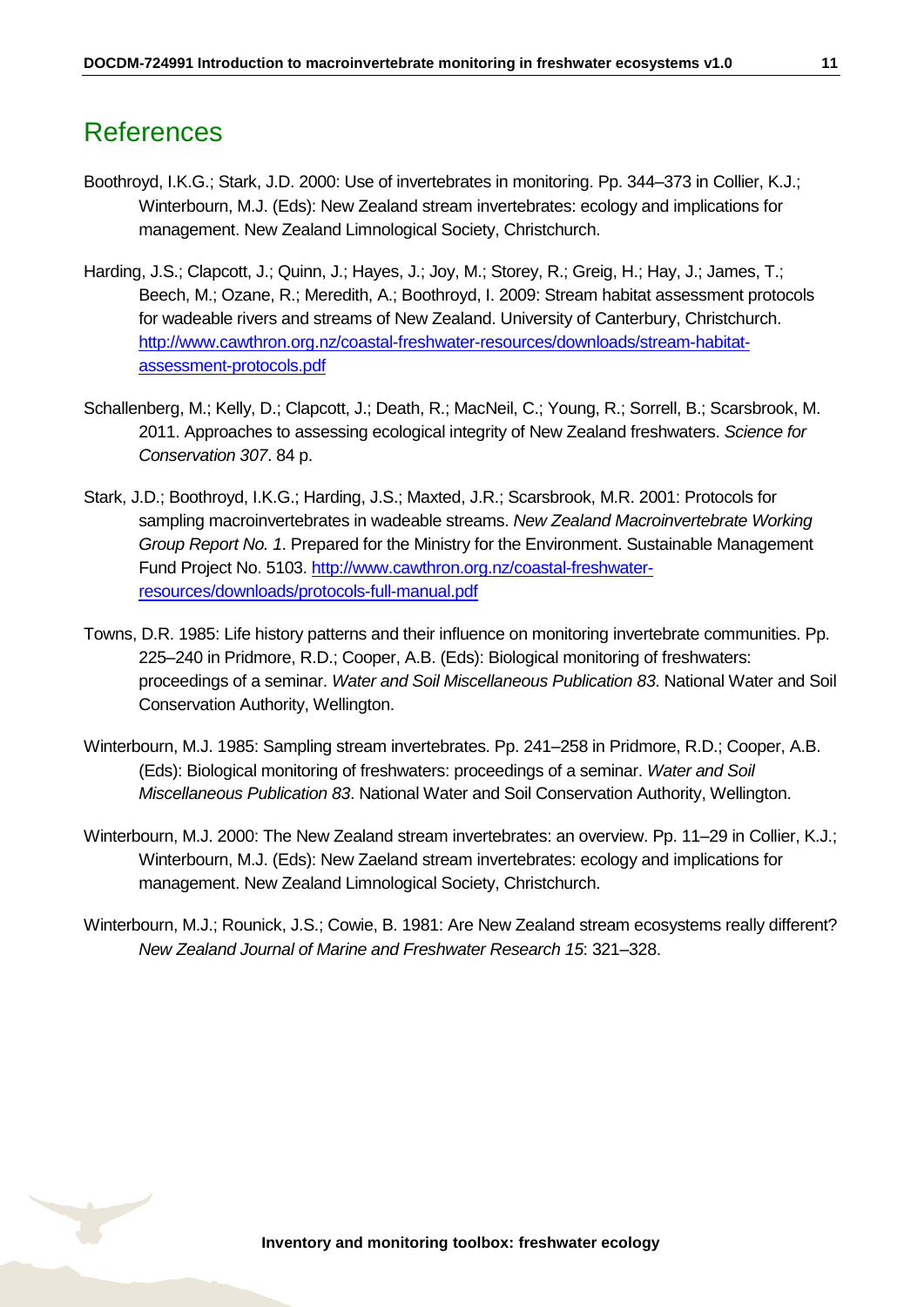# <span id="page-10-0"></span>References

- Boothroyd, I.K.G.; Stark, J.D. 2000: Use of invertebrates in monitoring. Pp. 344–373 in Collier, K.J.; Winterbourn, M.J. (Eds): New Zealand stream invertebrates: ecology and implications for management. New Zealand Limnological Society, Christchurch.
- Harding, J.S.; Clapcott, J.; Quinn, J.; Hayes, J.; Joy, M.; Storey, R.; Greig, H.; Hay, J.; James, T.; Beech, M.; Ozane, R.; Meredith, A.; Boothroyd, I. 2009: Stream habitat assessment protocols for wadeable rivers and streams of New Zealand. University of Canterbury, Christchurch. [http://www.cawthron.org.nz/coastal-freshwater-resources/downloads/stream-habitat](http://www.cawthron.org.nz/coastal-freshwater-resources/downloads/stream-habitat-assessment-protocols.pdf)[assessment-protocols.pdf](http://www.cawthron.org.nz/coastal-freshwater-resources/downloads/stream-habitat-assessment-protocols.pdf)
- Schallenberg, M.; Kelly, D.; Clapcott, J.; Death, R.; MacNeil, C.; Young, R.; Sorrell, B.; Scarsbrook, M. 2011. Approaches to assessing ecological integrity of New Zealand freshwaters. *Science for Conservation 307*. 84 p.
- Stark, J.D.; Boothroyd, I.K.G.; Harding, J.S.; Maxted, J.R.; Scarsbrook, M.R. 2001: Protocols for sampling macroinvertebrates in wadeable streams. *New Zealand Macroinvertebrate Working Group Report No. 1*. Prepared for the Ministry for the Environment. Sustainable Management Fund Project No. 5103. [http://www.cawthron.org.nz/coastal-freshwater](http://www.cawthron.org.nz/coastal-freshwater-resources/downloads/protocols-full-manual.pdf)[resources/downloads/protocols-full-manual.pdf](http://www.cawthron.org.nz/coastal-freshwater-resources/downloads/protocols-full-manual.pdf)
- Towns, D.R. 1985: Life history patterns and their influence on monitoring invertebrate communities. Pp. 225–240 in Pridmore, R.D.; Cooper, A.B. (Eds): Biological monitoring of freshwaters: proceedings of a seminar. *Water and Soil Miscellaneous Publication 83*. National Water and Soil Conservation Authority, Wellington.
- Winterbourn, M.J. 1985: Sampling stream invertebrates. Pp. 241–258 in Pridmore, R.D.; Cooper, A.B. (Eds): Biological monitoring of freshwaters: proceedings of a seminar. *Water and Soil Miscellaneous Publication 83*. National Water and Soil Conservation Authority, Wellington.
- Winterbourn, M.J. 2000: The New Zealand stream invertebrates: an overview. Pp. 11–29 in Collier, K.J.; Winterbourn, M.J. (Eds): New Zaeland stream invertebrates: ecology and implications for management. New Zealand Limnological Society, Christchurch.
- Winterbourn, M.J.; Rounick, J.S.; Cowie, B. 1981: Are New Zealand stream ecosystems really different? *New Zealand Journal of Marine and Freshwater Research 15*: 321–328.